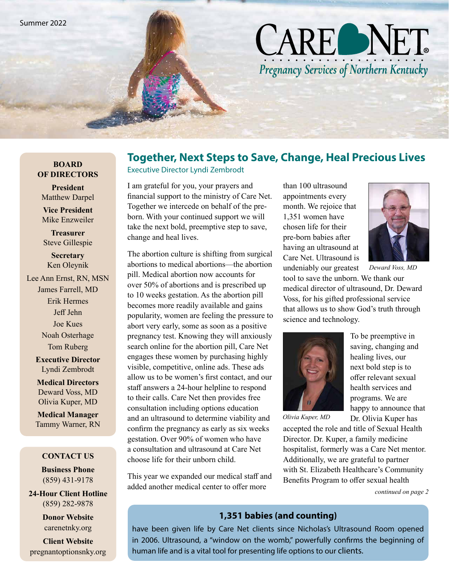# **CARE NET** Pregnancy Services of Northern Kentucky

### **Together, Next Steps to Save, Change, Heal Precious Lives**

**BOARD OF DIRECTORS**

**President** Matthew Darpel

**Vice President** Mike Enzweiler

**Treasurer** Steve Gillespie

**Secretary** Ken Oleynik

Lee Ann Ernst, RN, MSN James Farrell, MD Erik Hermes Jeff Jehn Joe Kues Noah Osterhage Tom Ruberg

> **Executive Director** Lyndi Zembrodt

**Medical Directors** Deward Voss, MD Olivia Kuper, MD

**Medical Manager** Tammy Warner, RN

#### **CONTACT US**

**Business Phone** (859) 431-9178

**24-Hour Client Hotline** (859) 282-9878

> **Donor Website** carenetnky.org

**Client Website** pregnantoptionsnky.org Executive Director Lyndi Zembrodt

I am grateful for you, your prayers and financial support to the ministry of Care Net. Together we intercede on behalf of the preborn. With your continued support we will take the next bold, preemptive step to save, change and heal lives.

The abortion culture is shifting from surgical abortions to medical abortions—the abortion pill. Medical abortion now accounts for over 50% of abortions and is prescribed up to 10 weeks gestation. As the abortion pill becomes more readily available and gains popularity, women are feeling the pressure to abort very early, some as soon as a positive pregnancy test. Knowing they will anxiously search online for the abortion pill, Care Net engages these women by purchasing highly visible, competitive, online ads. These ads allow us to be women's first contact, and our staff answers a 24-hour helpline to respond to their calls. Care Net then provides free consultation including options education and an ultrasound to determine viability and confirm the pregnancy as early as six weeks gestation. Over 90% of women who have a consultation and ultrasound at Care Net choose life for their unborn child.

This year we expanded our medical staff and added another medical center to offer more

than 100 ultrasound appointments every month. We rejoice that 1,351 women have chosen life for their pre-born babies after having an ultrasound at Care Net. Ultrasound is undeniably our greatest



*Deward Voss, MD* 

tool to save the unborn. We thank our medical director of ultrasound, Dr. Deward Voss, for his gifted professional service that allows us to show God's truth through science and technology.



*Olivia Kuper, MD* 

To be preemptive in saving, changing and healing lives, our next bold step is to offer relevant sexual health services and programs. We are happy to announce that Dr. Olivia Kuper has

accepted the role and title of Sexual Health Director. Dr. Kuper, a family medicine hospitalist, formerly was a Care Net mentor. Additionally, we are grateful to partner with St. Elizabeth Healthcare's Community Benefits Program to offer sexual health

*continued on page 2*

#### 1,351 babies (and counting)

have been given life by Care Net clients since Nicholas's Ultrasound Room opened in 2006. Ultrasound, a "window on the womb," powerfully confirms the beginning of human life and is a vital tool for presenting life options to our clients.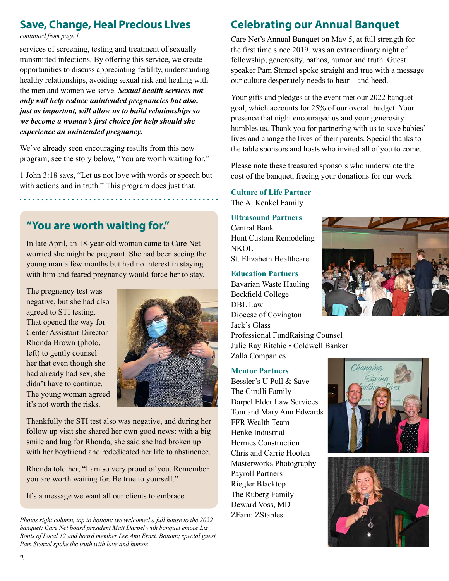# **Save, Change, Heal Precious Lives**

*continued from page 1*

services of screening, testing and treatment of sexually transmitted infections. By offering this service, we create opportunities to discuss appreciating fertility, understanding healthy relationships, avoiding sexual risk and healing with the men and women we serve. *Sexual health services not only will help reduce unintended pregnancies but also, just as important, will allow us to build relationships so we become a woman's first choice for help should she experience an unintended pregnancy.*

We've already seen encouraging results from this new program; see the story below, "You are worth waiting for."

1 John 3:18 says, "Let us not love with words or speech but with actions and in truth." This program does just that.

# **"You are worth waiting for."**

In late April, an 18-year-old woman came to Care Net worried she might be pregnant. She had been seeing the young man a few months but had no interest in staying with him and feared pregnancy would force her to stay.

The pregnancy test was negative, but she had also agreed to STI testing. That opened the way for Center Assistant Director Rhonda Brown (photo, left) to gently counsel her that even though she had already had sex, she didn't have to continue. The young woman agreed it's not worth the risks.



Thankfully the STI test also was negative, and during her follow up visit she shared her own good news: with a big smile and hug for Rhonda, she said she had broken up with her boyfriend and rededicated her life to abstinence.

Rhonda told her, "I am so very proud of you. Remember you are worth waiting for. Be true to yourself."

It's a message we want all our clients to embrace.

*Photos right column, top to bottom: we welcomed a full house to the 2022 banquet; Care Net board president Matt Darpel with banquet emcee Liz Bonis of Local 12 and board member Lee Ann Ernst. Bottom; special guest Pam Stenzel spoke the truth with love and humor.*

# **Celebrating our Annual Banquet**

Care Net's Annual Banquet on May 5, at full strength for the first time since 2019, was an extraordinary night of fellowship, generosity, pathos, humor and truth. Guest speaker Pam Stenzel spoke straight and true with a message our culture desperately needs to hear—and heed.

Your gifts and pledges at the event met our 2022 banquet goal, which accounts for 25% of our overall budget. Your presence that night encouraged us and your generosity humbles us. Thank you for partnering with us to save babies' lives and change the lives of their parents. Special thanks to the table sponsors and hosts who invited all of you to come.

Please note these treasured sponsors who underwrote the cost of the banquet, freeing your donations for our work:

#### **Culture of Life Partner**

The Al Kenkel Family

#### **Ultrasound Partners**

Central Bank Hunt Custom Remodeling **NKOL** St. Elizabeth Healthcare

#### **Education Partners**

Bavarian Waste Hauling Beckfield College DBL Law Diocese of Covington Jack's Glass Professional FundRaising Counsel Julie Ray Ritchie • Coldwell Banker Zalla Companies

#### **Mentor Partners**

Bessler's U Pull & Save The Cirulli Family Darpel Elder Law Services Tom and Mary Ann Edwards FFR Wealth Team Henke Industrial Hermes Construction Chris and Carrie Hooten Masterworks Photography Payroll Partners Riegler Blacktop The Ruberg Family Deward Voss, MD ZFarm ZStables





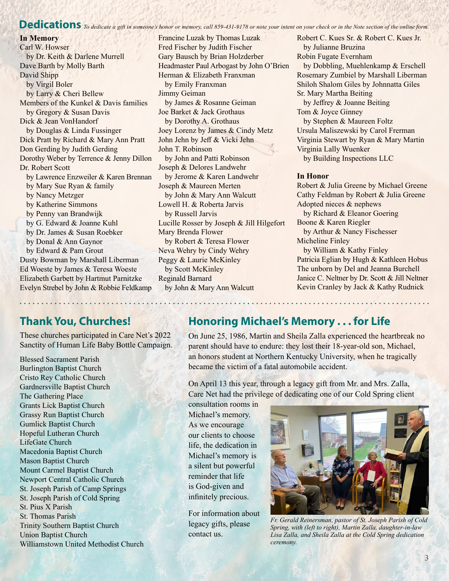# Dedications *To dedicate a gift in someone's honor or memory, call 859-431-9178 or note your intent on your check or in the Note section of the online form.*

#### **In Memory**

Carl W. Howser by Dr. Keith & Darlene Murrell Dave Barth by Molly Barth David Shipp by Virgil Boler by Larry & Cheri Bellew Members of the Kunkel & Davis families by Gregory & Susan Davis Dick & Jean VonHandorf by Douglas & Linda Fussinger Dick Pratt by Richard & Mary Ann Pratt Don Gerding by Judith Gerding Dorothy Weber by Terrence & Jenny Dillon Dr. Robert Scott by Lawrence Enzweiler & Karen Brennan by Mary Sue Ryan & family by Nancy Metzger by Katherine Simmons by Penny van Brandwijk by G. Edward & Joanne Kuhl by Dr. James & Susan Roebker by Donal & Ann Gaynor by Edward & Pam Grout Dusty Bowman by Marshall Liberman Ed Woeste by James & Teresa Woeste Elizabeth Garbett by Hartmut Parnitzke Evelyn Strebel by John & Robbie Feldkamp Francine Luzak by Thomas Luzak Fred Fischer by Judith Fischer Gary Bausch by Brian Holzderber Headmaster Paul Arbogast by John O'Brien Herman & Elizabeth Franxman by Emily Franxman Jimmy Geiman by James & Rosanne Geiman Joe Barket & Jack Grothaus by Dorothy A. Grothaus Joey Lorenz by James & Cindy Metz John Jehn by Jeff & Vicki Jehn John T. Robinson by John and Patti Robinson Joseph & Delores Landwehr by Jerome & Karen Landwehr Joseph & Maureen Merten by John & Mary Ann Walcutt Lowell H. & Roberta Jarvis by Russell Jarvis Lucille Rosser by Joseph & Jill Hilgefort Mary Brenda Flower by Robert & Teresa Flower Neva Wehry by Cindy Wehry Peggy & Laurie McKinley by Scott McKinley Reginald Barnard by John & Mary Ann Walcutt

Robert C. Kues Sr. & Robert C. Kues Jr. by Julianne Bruzina Robin Fugate Evernham by Dobbling, Muehlenkamp & Erschell Rosemary Zumbiel by Marshall Liberman Shiloh Shalom Giles by Johnnatta Giles Sr. Mary Martha Beiting by Jeffrey & Joanne Beiting Tom & Joyce Ginney by Stephen & Maureen Foltz Ursula Maliszewski by Carol Frerman Virginia Stewart by Ryan & Mary Martin Virginia Lally Wuenker by Building Inspections LLC

#### **In Honor**

Robert & Julia Greene by Michael Greene Cathy Feldman by Robert & Julia Greene Adopted nieces & nephews by Richard & Eleanor Goering Boone & Karen Riegler by Arthur & Nancy Fischesser Micheline Finley by William & Kathy Finley Patricia Eglian by Hugh & Kathleen Hobus The unborn by Del and Jeanna Burchell Janice C. Neltner by Dr. Scott & Jill Neltner Kevin Cranley by Jack & Kathy Rudnick

## **Thank You, Churches!**

These churches participated in Care Net's 2022 Sanctity of Human Life Baby Bottle Campaign.

Blessed Sacrament Parish Burlington Baptist Church Cristo Rey Catholic Church Gardnersville Baptist Church The Gathering Place Grants Lick Baptist Church Grassy Run Baptist Church Gumlick Baptist Church Hopeful Lutheran Church LifeGate Church Macedonia Baptist Church Mason Baptist Church Mount Carmel Baptist Church Newport Central Catholic Church St. Joseph Parish of Camp Springs St. Joseph Parish of Cold Spring St. Pius X Parish St. Thomas Parish Trinity Southern Baptist Church Union Baptist Church Williamstown United Methodist Church

## **Honoring Michael's Memory . . . for Life**

On June 25, 1986, Martin and Sheila Zalla experienced the heartbreak no parent should have to endure: they lost their 18-year-old son, Michael, an honors student at Northern Kentucky University, when he tragically became the victim of a fatal automobile accident.

<u> 1999 - Jacques III, p</u>

On April 13 this year, through a legacy gift from Mr. and Mrs. Zalla, Care Net had the privilege of dedicating one of our Cold Spring client

consultation rooms in Michael's memory. As we encourage our clients to choose life, the dedication in Michael's memory is a silent but powerful reminder that life is God-given and infinitely precious.

For information about legacy gifts, please contact us.



*Fr. Gerald Reinersman, pastor of St. Joseph Parish of Cold Spring, with (left to right), Martin Zalla, daughter-in-law Lisa Zalla, and Sheila Zalla at the Cold Spring dedication ceremony.*